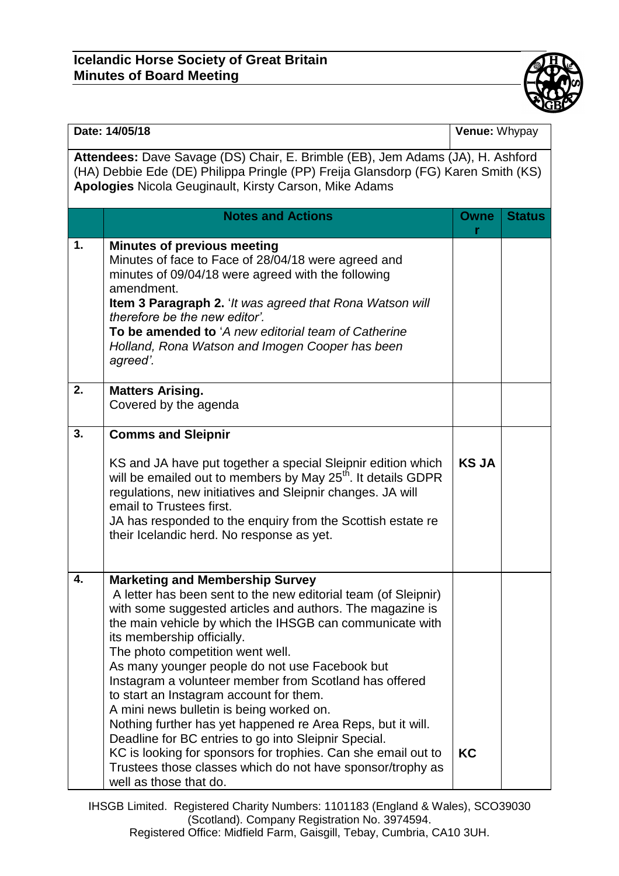## **Icelandic Horse Society of Great Britain Minutes of Board Meeting**



| Date: 14/05/18                                                                                                                                                                                                                       |                                                                                                                                                                                                                                                                                                                                                                                                                                                                                                                                                                                                                                                                                                                                                                                        | Venue: Whypay |               |  |
|--------------------------------------------------------------------------------------------------------------------------------------------------------------------------------------------------------------------------------------|----------------------------------------------------------------------------------------------------------------------------------------------------------------------------------------------------------------------------------------------------------------------------------------------------------------------------------------------------------------------------------------------------------------------------------------------------------------------------------------------------------------------------------------------------------------------------------------------------------------------------------------------------------------------------------------------------------------------------------------------------------------------------------------|---------------|---------------|--|
| Attendees: Dave Savage (DS) Chair, E. Brimble (EB), Jem Adams (JA), H. Ashford<br>(HA) Debbie Ede (DE) Philippa Pringle (PP) Freija Glansdorp (FG) Karen Smith (KS)<br><b>Apologies Nicola Geuginault, Kirsty Carson, Mike Adams</b> |                                                                                                                                                                                                                                                                                                                                                                                                                                                                                                                                                                                                                                                                                                                                                                                        |               |               |  |
|                                                                                                                                                                                                                                      | <b>Notes and Actions</b>                                                                                                                                                                                                                                                                                                                                                                                                                                                                                                                                                                                                                                                                                                                                                               | Owne<br>r     | <b>Status</b> |  |
| 1.                                                                                                                                                                                                                                   | <b>Minutes of previous meeting</b><br>Minutes of face to Face of 28/04/18 were agreed and<br>minutes of 09/04/18 were agreed with the following<br>amendment.<br><b>Item 3 Paragraph 2.</b> 'It was agreed that Rona Watson will<br>therefore be the new editor'.<br>To be amended to 'A new editorial team of Catherine<br>Holland, Rona Watson and Imogen Cooper has been<br>agreed'.                                                                                                                                                                                                                                                                                                                                                                                                |               |               |  |
| 2.                                                                                                                                                                                                                                   | <b>Matters Arising.</b><br>Covered by the agenda                                                                                                                                                                                                                                                                                                                                                                                                                                                                                                                                                                                                                                                                                                                                       |               |               |  |
| 3.                                                                                                                                                                                                                                   | <b>Comms and Sleipnir</b><br>KS and JA have put together a special Sleipnir edition which<br>will be emailed out to members by May 25 <sup>th</sup> . It details GDPR<br>regulations, new initiatives and Sleipnir changes. JA will<br>email to Trustees first.<br>JA has responded to the enquiry from the Scottish estate re<br>their Icelandic herd. No response as yet.                                                                                                                                                                                                                                                                                                                                                                                                            | <b>KS JA</b>  |               |  |
| 4.                                                                                                                                                                                                                                   | <b>Marketing and Membership Survey</b><br>A letter has been sent to the new editorial team (of Sleipnir)<br>with some suggested articles and authors. The magazine is<br>the main vehicle by which the IHSGB can communicate with<br>its membership officially.<br>The photo competition went well.<br>As many younger people do not use Facebook but<br>Instagram a volunteer member from Scotland has offered<br>to start an Instagram account for them.<br>A mini news bulletin is being worked on.<br>Nothing further has yet happened re Area Reps, but it will.<br>Deadline for BC entries to go into Sleipnir Special.<br>KC is looking for sponsors for trophies. Can she email out to<br>Trustees those classes which do not have sponsor/trophy as<br>well as those that do. | KC            |               |  |

IHSGB Limited. Registered Charity Numbers: 1101183 (England & Wales), SCO39030 (Scotland). Company Registration No. 3974594. Registered Office: Midfield Farm, Gaisgill, Tebay, Cumbria, CA10 3UH.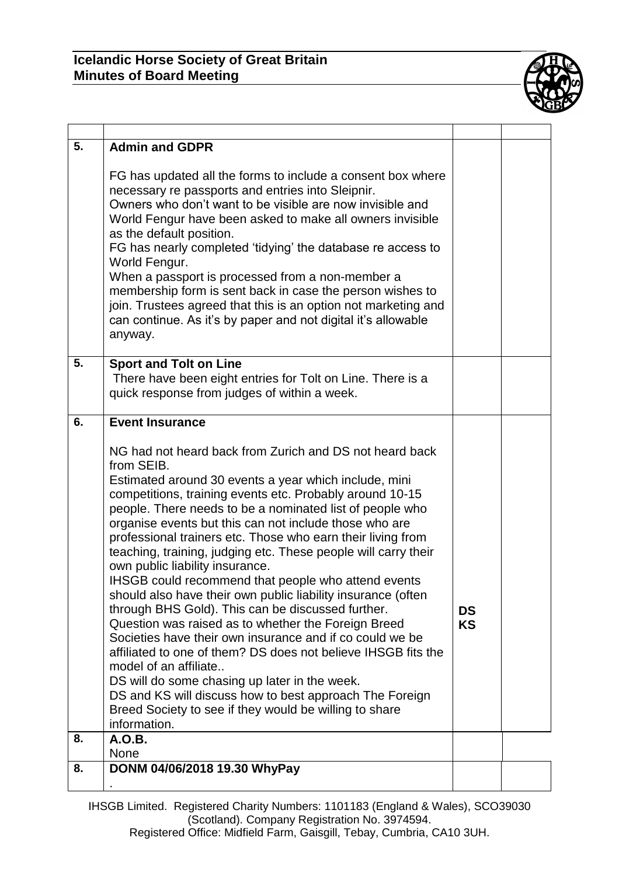## **Icelandic Horse Society of Great Britain Minutes of Board Meeting**



| 5. | <b>Admin and GDPR</b>                                                                                                                                                                                                                                                                                                                                                                                                                                                                                                                                                                                                                                                                                                                                                                                                                                                                                                                                                                                                                                               |                        |  |
|----|---------------------------------------------------------------------------------------------------------------------------------------------------------------------------------------------------------------------------------------------------------------------------------------------------------------------------------------------------------------------------------------------------------------------------------------------------------------------------------------------------------------------------------------------------------------------------------------------------------------------------------------------------------------------------------------------------------------------------------------------------------------------------------------------------------------------------------------------------------------------------------------------------------------------------------------------------------------------------------------------------------------------------------------------------------------------|------------------------|--|
|    | FG has updated all the forms to include a consent box where<br>necessary re passports and entries into Sleipnir.<br>Owners who don't want to be visible are now invisible and<br>World Fengur have been asked to make all owners invisible<br>as the default position.<br>FG has nearly completed 'tidying' the database re access to<br>World Fengur.<br>When a passport is processed from a non-member a<br>membership form is sent back in case the person wishes to<br>join. Trustees agreed that this is an option not marketing and<br>can continue. As it's by paper and not digital it's allowable<br>anyway.                                                                                                                                                                                                                                                                                                                                                                                                                                               |                        |  |
| 5. | <b>Sport and Tolt on Line</b><br>There have been eight entries for Tolt on Line. There is a<br>quick response from judges of within a week.                                                                                                                                                                                                                                                                                                                                                                                                                                                                                                                                                                                                                                                                                                                                                                                                                                                                                                                         |                        |  |
| 6. | <b>Event Insurance</b>                                                                                                                                                                                                                                                                                                                                                                                                                                                                                                                                                                                                                                                                                                                                                                                                                                                                                                                                                                                                                                              |                        |  |
|    | NG had not heard back from Zurich and DS not heard back<br>from SEIB.<br>Estimated around 30 events a year which include, mini<br>competitions, training events etc. Probably around 10-15<br>people. There needs to be a nominated list of people who<br>organise events but this can not include those who are<br>professional trainers etc. Those who earn their living from<br>teaching, training, judging etc. These people will carry their<br>own public liability insurance.<br>IHSGB could recommend that people who attend events<br>should also have their own public liability insurance (often<br>through BHS Gold). This can be discussed further.<br>Question was raised as to whether the Foreign Breed<br>Societies have their own insurance and if co could we be<br>affiliated to one of them? DS does not believe IHSGB fits the<br>model of an affiliate<br>DS will do some chasing up later in the week.<br>DS and KS will discuss how to best approach The Foreign<br>Breed Society to see if they would be willing to share<br>information. | <b>DS</b><br><b>KS</b> |  |
| 8. | A.O.B.<br><b>None</b>                                                                                                                                                                                                                                                                                                                                                                                                                                                                                                                                                                                                                                                                                                                                                                                                                                                                                                                                                                                                                                               |                        |  |
| 8. | DONM 04/06/2018 19.30 WhyPay                                                                                                                                                                                                                                                                                                                                                                                                                                                                                                                                                                                                                                                                                                                                                                                                                                                                                                                                                                                                                                        |                        |  |
|    |                                                                                                                                                                                                                                                                                                                                                                                                                                                                                                                                                                                                                                                                                                                                                                                                                                                                                                                                                                                                                                                                     |                        |  |

IHSGB Limited. Registered Charity Numbers: 1101183 (England & Wales), SCO39030 (Scotland). Company Registration No. 3974594. Registered Office: Midfield Farm, Gaisgill, Tebay, Cumbria, CA10 3UH.